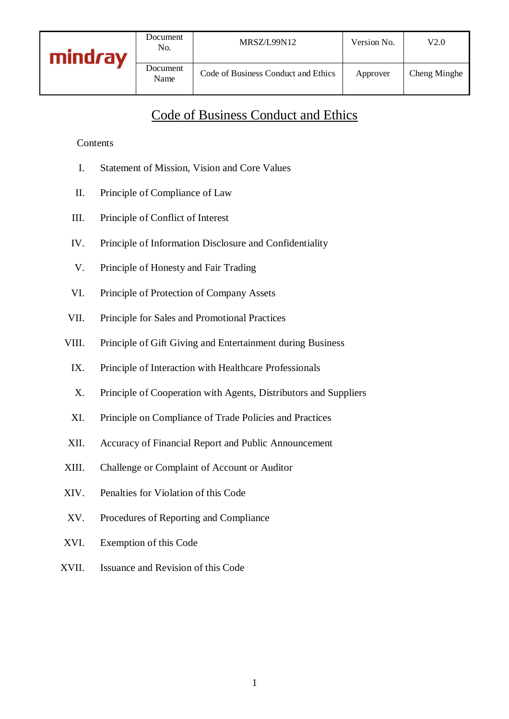Document

Ocument Code of Business Conduct and Ethics Approver Cheng Minghe

# Code of Business Conduct and Ethics

### Contents

- I. Statement of Mission, Vision and Core Values
- II. Principle of Compliance of Law
- III. Principle of Conflict of Interest
- IV. Principle of Information Disclosure and Confidentiality
- V. Principle of Honesty and Fair Trading
- VI. Principle of Protection of Company Assets
- VII. Principle for Sales and Promotional Practices
- VIII. Principle of Gift Giving and Entertainment during Business
	- IX. Principle of Interaction with Healthcare Professionals
	- X. Principle of Cooperation with Agents, Distributors and Suppliers
	- XI. Principle on Compliance of Trade Policies and Practices
- XII. Accuracy of Financial Report and Public Announcement
- XIII. Challenge or Complaint of Account or Auditor
- XIV. Penalties for Violation of this Code
- XV. Procedures of Reporting and Compliance
- XVI. Exemption of this Code
- XVII. Issuance and Revision of this Code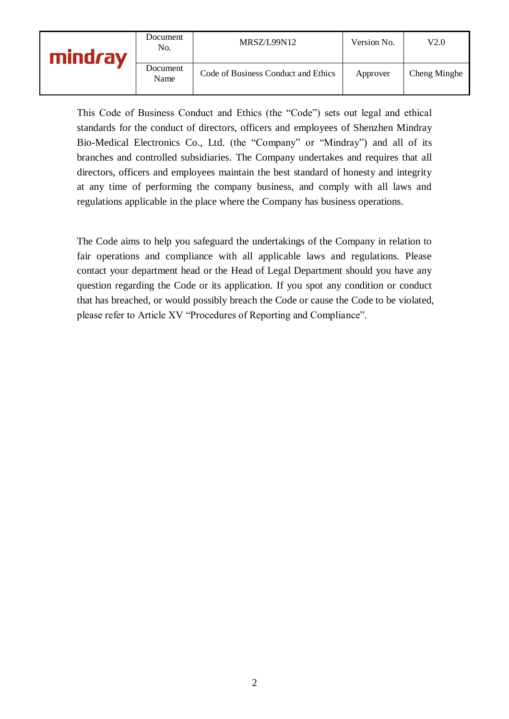| mindrav | Document<br>No.  | MRSZ/L99N12                         | Version No. | V2.0         |
|---------|------------------|-------------------------------------|-------------|--------------|
|         | Document<br>Name | Code of Business Conduct and Ethics | Approver    | Cheng Minghe |

This Code of Business Conduct and Ethics (the "Code") sets out legal and ethical standards for the conduct of directors, officers and employees of Shenzhen Mindray Bio-Medical Electronics Co., Ltd. (the "Company" or "Mindray") and all of its branches and controlled subsidiaries. The Company undertakes and requires that all directors, officers and employees maintain the best standard of honesty and integrity at any time of performing the company business, and comply with all laws and regulations applicable in the place where the Company has business operations.

The Code aims to help you safeguard the undertakings of the Company in relation to fair operations and compliance with all applicable laws and regulations. Please contact your department head or the Head of Legal Department should you have any question regarding the Code or its application. If you spot any condition or conduct that has breached, or would possibly breach the Code or cause the Code to be violated, please refer to Article XV "Procedures of Reporting and Compliance".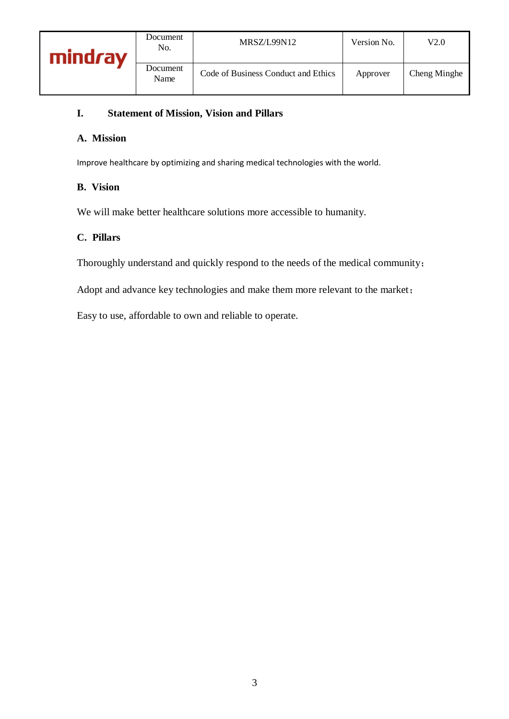### **I. Statement of Mission, Vision and Pillars**

#### **A. Mission**

Improve healthcare by optimizing and sharing medical technologies with the world.

#### **B. Vision**

We will make better healthcare solutions more accessible to humanity.

#### **C. Pillars**

Thoroughly understand and quickly respond to the needs of the medical community;

Adopt and advance key technologies and make them more relevant to the market;

Easy to use, affordable to own and reliable to operate.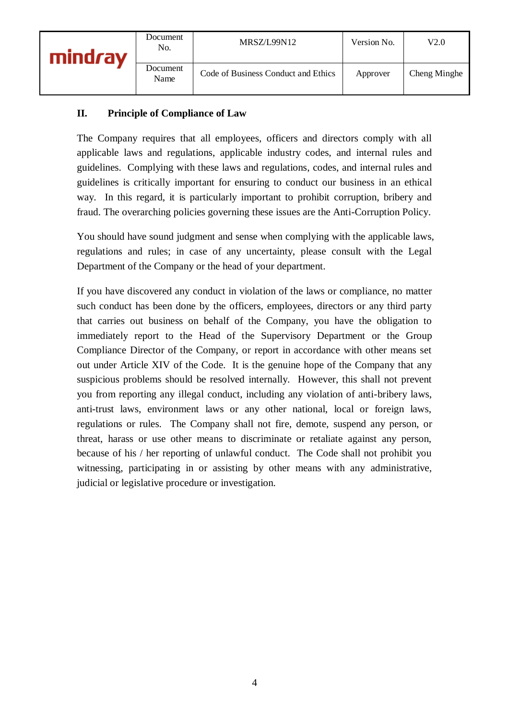### **II. Principle of Compliance of Law**

The Company requires that all employees, officers and directors comply with all applicable laws and regulations, applicable industry codes, and internal rules and guidelines. Complying with these laws and regulations, codes, and internal rules and guidelines is critically important for ensuring to conduct our business in an ethical way. In this regard, it is particularly important to prohibit corruption, bribery and fraud. The overarching policies governing these issues are the Anti-Corruption Policy.

You should have sound judgment and sense when complying with the applicable laws, regulations and rules; in case of any uncertainty, please consult with the Legal Department of the Company or the head of your department.

If you have discovered any conduct in violation of the laws or compliance, no matter such conduct has been done by the officers, employees, directors or any third party that carries out business on behalf of the Company, you have the obligation to immediately report to the Head of the Supervisory Department or the Group Compliance Director of the Company, or report in accordance with other means set out under Article XIV of the Code. It is the genuine hope of the Company that any suspicious problems should be resolved internally. However, this shall not prevent you from reporting any illegal conduct, including any violation of anti-bribery laws, anti-trust laws, environment laws or any other national, local or foreign laws, regulations or rules. The Company shall not fire, demote, suspend any person, or threat, harass or use other means to discriminate or retaliate against any person, because of his / her reporting of unlawful conduct. The Code shall not prohibit you witnessing, participating in or assisting by other means with any administrative, judicial or legislative procedure or investigation.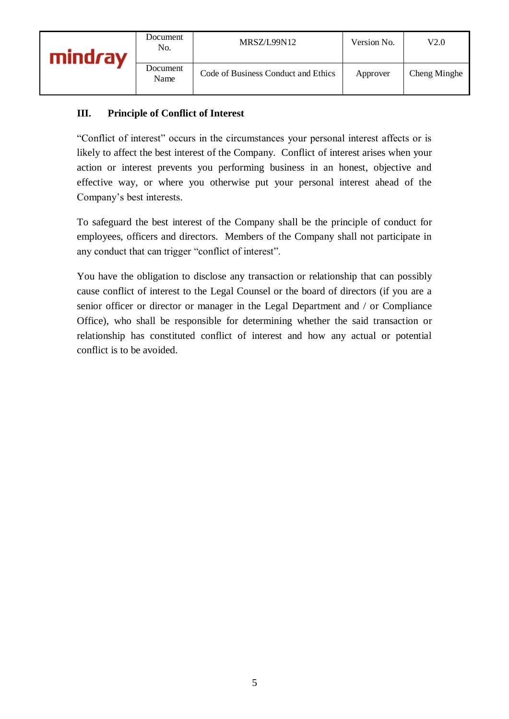# **III. Principle of Conflict of Interest**

"Conflict of interest" occurs in the circumstances your personal interest affects or is likely to affect the best interest of the Company. Conflict of interest arises when your action or interest prevents you performing business in an honest, objective and effective way, or where you otherwise put your personal interest ahead of the Company's best interests.

To safeguard the best interest of the Company shall be the principle of conduct for employees, officers and directors. Members of the Company shall not participate in any conduct that can trigger "conflict of interest".

You have the obligation to disclose any transaction or relationship that can possibly cause conflict of interest to the Legal Counsel or the board of directors (if you are a senior officer or director or manager in the Legal Department and / or Compliance Office), who shall be responsible for determining whether the said transaction or relationship has constituted conflict of interest and how any actual or potential conflict is to be avoided.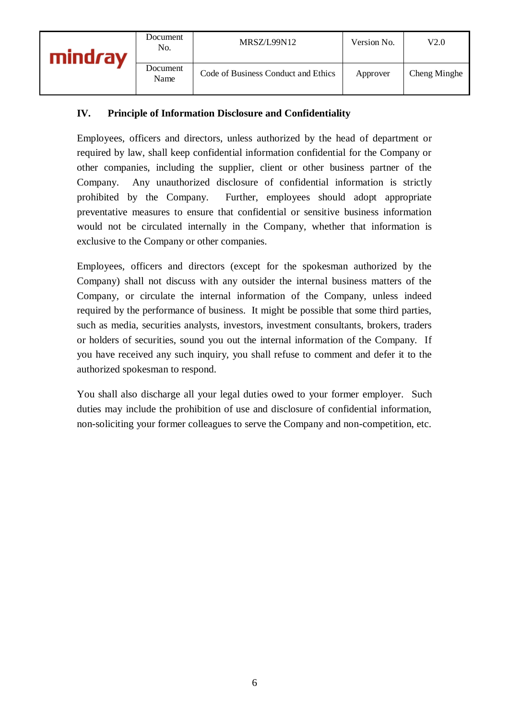# **IV. Principle of Information Disclosure and Confidentiality**

Employees, officers and directors, unless authorized by the head of department or required by law, shall keep confidential information confidential for the Company or other companies, including the supplier, client or other business partner of the Company. Any unauthorized disclosure of confidential information is strictly prohibited by the Company. Further, employees should adopt appropriate preventative measures to ensure that confidential or sensitive business information would not be circulated internally in the Company, whether that information is exclusive to the Company or other companies.

Employees, officers and directors (except for the spokesman authorized by the Company) shall not discuss with any outsider the internal business matters of the Company, or circulate the internal information of the Company, unless indeed required by the performance of business. It might be possible that some third parties, such as media, securities analysts, investors, investment consultants, brokers, traders or holders of securities, sound you out the internal information of the Company. If you have received any such inquiry, you shall refuse to comment and defer it to the authorized spokesman to respond.

You shall also discharge all your legal duties owed to your former employer. Such duties may include the prohibition of use and disclosure of confidential information, non-soliciting your former colleagues to serve the Company and non-competition, etc.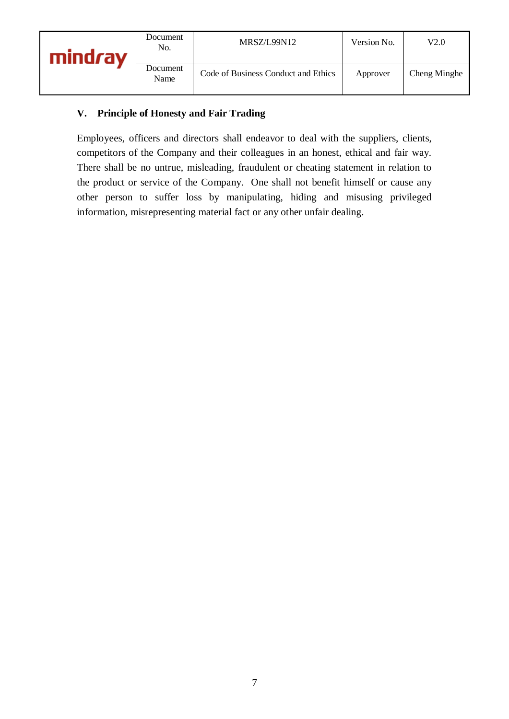# **V. Principle of Honesty and Fair Trading**

Employees, officers and directors shall endeavor to deal with the suppliers, clients, competitors of the Company and their colleagues in an honest, ethical and fair way. There shall be no untrue, misleading, fraudulent or cheating statement in relation to the product or service of the Company. One shall not benefit himself or cause any other person to suffer loss by manipulating, hiding and misusing privileged information, misrepresenting material fact or any other unfair dealing.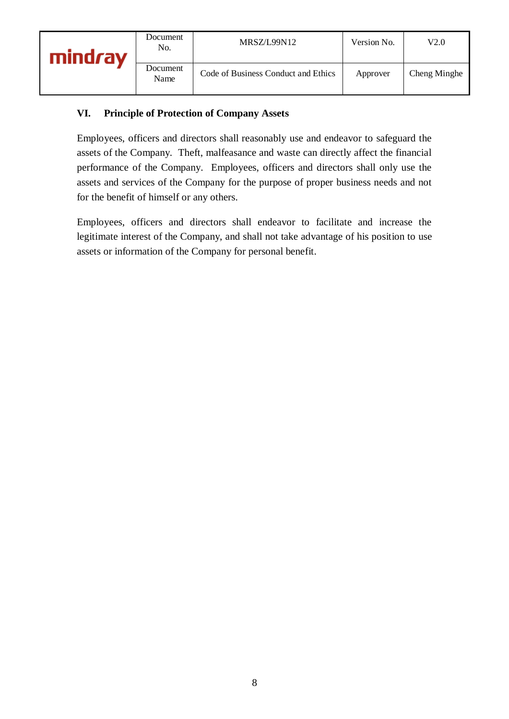# **VI. Principle of Protection of Company Assets**

Employees, officers and directors shall reasonably use and endeavor to safeguard the assets of the Company. Theft, malfeasance and waste can directly affect the financial performance of the Company. Employees, officers and directors shall only use the assets and services of the Company for the purpose of proper business needs and not for the benefit of himself or any others.

Employees, officers and directors shall endeavor to facilitate and increase the legitimate interest of the Company, and shall not take advantage of his position to use assets or information of the Company for personal benefit.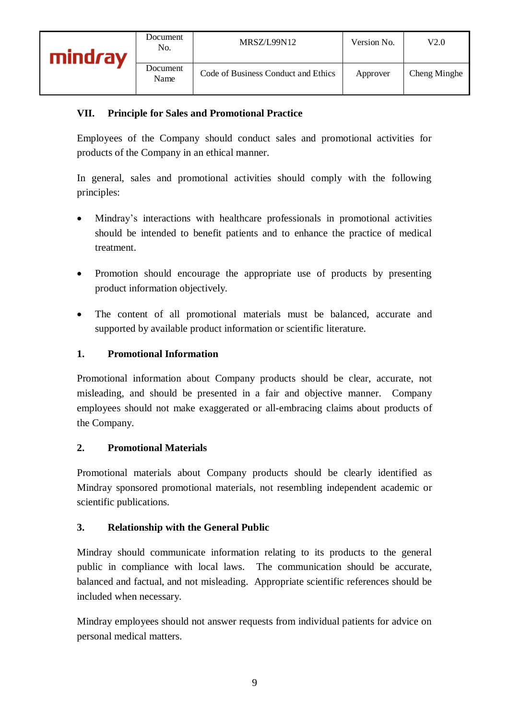# **VII. Principle for Sales and Promotional Practice**

Employees of the Company should conduct sales and promotional activities for products of the Company in an ethical manner.

In general, sales and promotional activities should comply with the following principles:

- Mindray's interactions with healthcare professionals in promotional activities should be intended to benefit patients and to enhance the practice of medical treatment.
- Promotion should encourage the appropriate use of products by presenting product information objectively.
- The content of all promotional materials must be balanced, accurate and supported by available product information or scientific literature.

### **1. Promotional Information**

Promotional information about Company products should be clear, accurate, not misleading, and should be presented in a fair and objective manner. Company employees should not make exaggerated or all-embracing claims about products of the Company.

#### **2. Promotional Materials**

Promotional materials about Company products should be clearly identified as Mindray sponsored promotional materials, not resembling independent academic or scientific publications.

#### **3. Relationship with the General Public**

Mindray should communicate information relating to its products to the general public in compliance with local laws. The communication should be accurate, balanced and factual, and not misleading. Appropriate scientific references should be included when necessary.

Mindray employees should not answer requests from individual patients for advice on personal medical matters.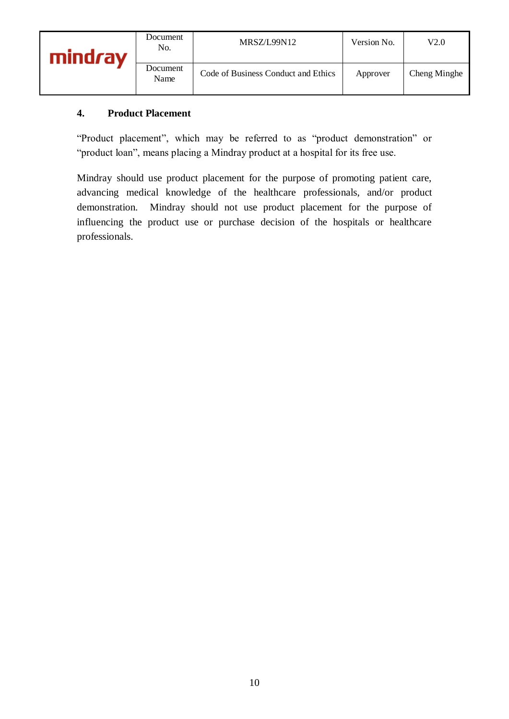| mindrav | Document<br>No.  | MRSZ/L99N12                         | Version No. | V2.0         |
|---------|------------------|-------------------------------------|-------------|--------------|
|         | Document<br>Name | Code of Business Conduct and Ethics | Approver    | Cheng Minghe |

# **4. Product Placement**

"Product placement", which may be referred to as "product demonstration" or "product loan", means placing a Mindray product at a hospital for its free use.

Mindray should use product placement for the purpose of promoting patient care, advancing medical knowledge of the healthcare professionals, and/or product demonstration. Mindray should not use product placement for the purpose of influencing the product use or purchase decision of the hospitals or healthcare professionals.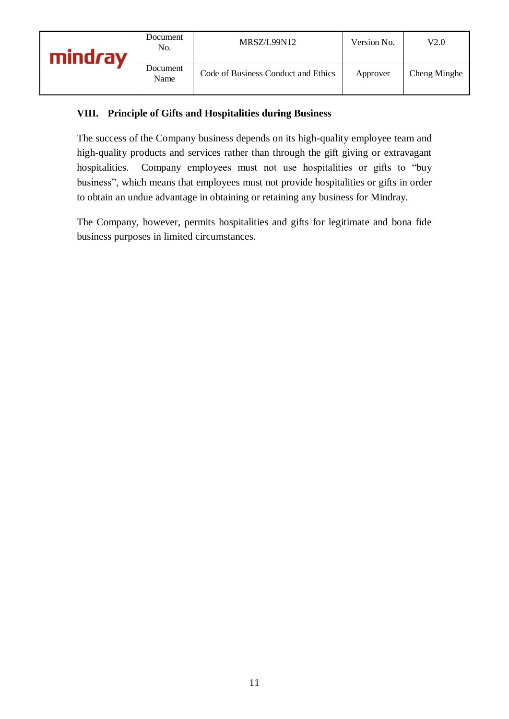# **VIII. Principle of Gifts and Hospitalities during Business**

The success of the Company business depends on its high-quality employee team and high-quality products and services rather than through the gift giving or extravagant hospitalities. Company employees must not use hospitalities or gifts to "buy business", which means that employees must not provide hospitalities or gifts in order to obtain an undue advantage in obtaining or retaining any business for Mindray.

The Company, however, permits hospitalities and gifts for legitimate and bona fide business purposes in limited circumstances.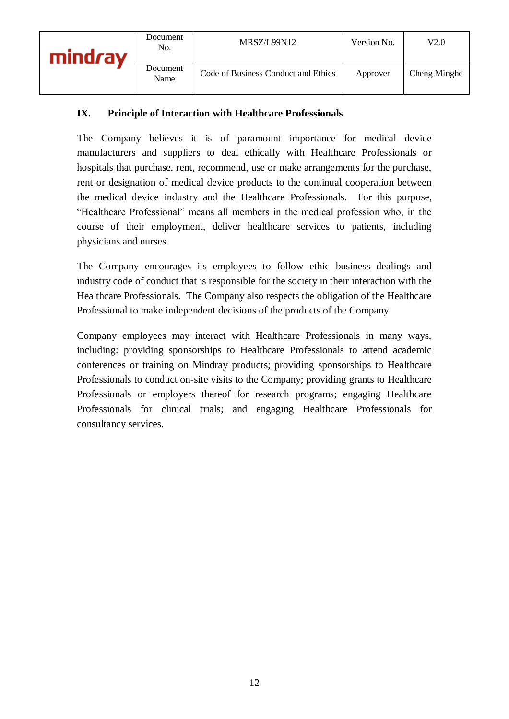### **IX. Principle of Interaction with Healthcare Professionals**

The Company believes it is of paramount importance for medical device manufacturers and suppliers to deal ethically with Healthcare Professionals or hospitals that purchase, rent, recommend, use or make arrangements for the purchase, rent or designation of medical device products to the continual cooperation between the medical device industry and the Healthcare Professionals. For this purpose, "Healthcare Professional" means all members in the medical profession who, in the course of their employment, deliver healthcare services to patients, including physicians and nurses.

The Company encourages its employees to follow ethic business dealings and industry code of conduct that is responsible for the society in their interaction with the Healthcare Professionals. The Company also respects the obligation of the Healthcare Professional to make independent decisions of the products of the Company.

Company employees may interact with Healthcare Professionals in many ways, including: providing sponsorships to Healthcare Professionals to attend academic conferences or training on Mindray products; providing sponsorships to Healthcare Professionals to conduct on-site visits to the Company; providing grants to Healthcare Professionals or employers thereof for research programs; engaging Healthcare Professionals for clinical trials; and engaging Healthcare Professionals for consultancy services.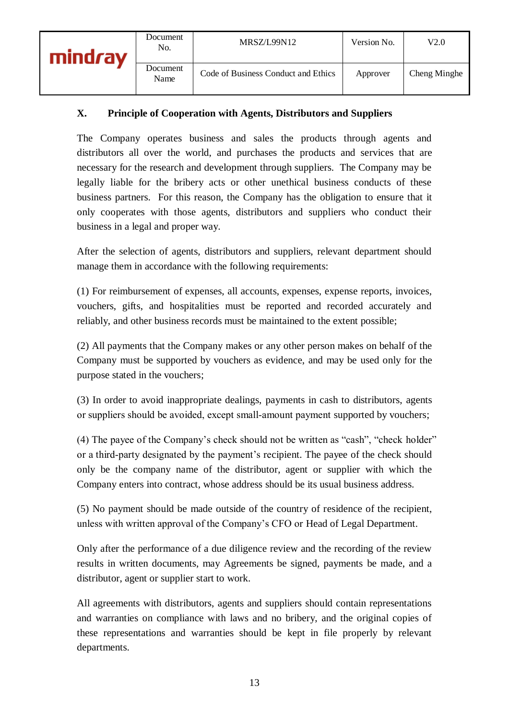# **X. Principle of Cooperation with Agents, Distributors and Suppliers**

The Company operates business and sales the products through agents and distributors all over the world, and purchases the products and services that are necessary for the research and development through suppliers. The Company may be legally liable for the bribery acts or other unethical business conducts of these business partners. For this reason, the Company has the obligation to ensure that it only cooperates with those agents, distributors and suppliers who conduct their business in a legal and proper way.

After the selection of agents, distributors and suppliers, relevant department should manage them in accordance with the following requirements:

(1) For reimbursement of expenses, all accounts, expenses, expense reports, invoices, vouchers, gifts, and hospitalities must be reported and recorded accurately and reliably, and other business records must be maintained to the extent possible;

(2) All payments that the Company makes or any other person makes on behalf of the Company must be supported by vouchers as evidence, and may be used only for the purpose stated in the vouchers;

(3) In order to avoid inappropriate dealings, payments in cash to distributors, agents or suppliers should be avoided, except small-amount payment supported by vouchers;

(4) The payee of the Company's check should not be written as "cash", "check holder" or a third‐party designated by the payment's recipient. The payee of the check should only be the company name of the distributor, agent or supplier with which the Company enters into contract, whose address should be its usual business address.

(5) No payment should be made outside of the country of residence of the recipient, unless with written approval of the Company's CFO or Head of Legal Department.

Only after the performance of a due diligence review and the recording of the review results in written documents, may Agreements be signed, payments be made, and a distributor, agent or supplier start to work.

All agreements with distributors, agents and suppliers should contain representations and warranties on compliance with laws and no bribery, and the original copies of these representations and warranties should be kept in file properly by relevant departments.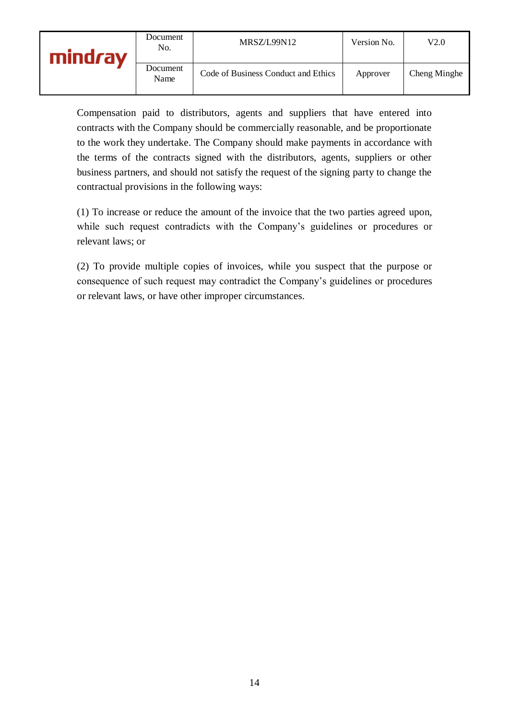| mind <i>r</i> av | Document<br>No.  | MRSZ/L99N12                         | Version No. | V2.0         |
|------------------|------------------|-------------------------------------|-------------|--------------|
|                  | Document<br>Name | Code of Business Conduct and Ethics | Approver    | Cheng Minghe |

Compensation paid to distributors, agents and suppliers that have entered into contracts with the Company should be commercially reasonable, and be proportionate to the work they undertake. The Company should make payments in accordance with the terms of the contracts signed with the distributors, agents, suppliers or other business partners, and should not satisfy the request of the signing party to change the contractual provisions in the following ways:

(1) To increase or reduce the amount of the invoice that the two parties agreed upon, while such request contradicts with the Company's guidelines or procedures or relevant laws; or

(2) To provide multiple copies of invoices, while you suspect that the purpose or consequence of such request may contradict the Company's guidelines or procedures or relevant laws, or have other improper circumstances.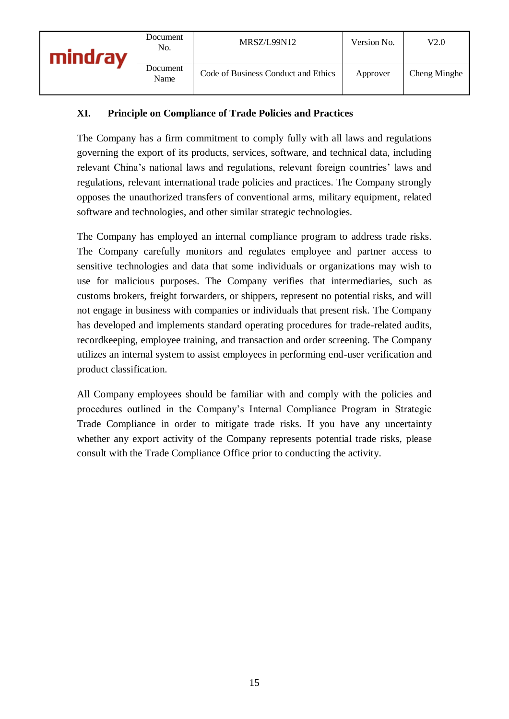# **XI. Principle on Compliance of Trade Policies and Practices**

The Company has a firm commitment to comply fully with all laws and regulations governing the export of its products, services, software, and technical data, including relevant China's national laws and regulations, relevant foreign countries' laws and regulations, relevant international trade policies and practices. The Company strongly opposes the unauthorized transfers of conventional arms, military equipment, related software and technologies, and other similar strategic technologies.

The Company has employed an internal compliance program to address trade risks. The Company carefully monitors and regulates employee and partner access to sensitive technologies and data that some individuals or organizations may wish to use for malicious purposes. The Company verifies that intermediaries, such as customs brokers, freight forwarders, or shippers, represent no potential risks, and will not engage in business with companies or individuals that present risk. The Company has developed and implements standard operating procedures for trade-related audits, recordkeeping, employee training, and transaction and order screening. The Company utilizes an internal system to assist employees in performing end-user verification and product classification.

All Company employees should be familiar with and comply with the policies and procedures outlined in the Company's Internal Compliance Program in Strategic Trade Compliance in order to mitigate trade risks. If you have any uncertainty whether any export activity of the Company represents potential trade risks, please consult with the Trade Compliance Office prior to conducting the activity.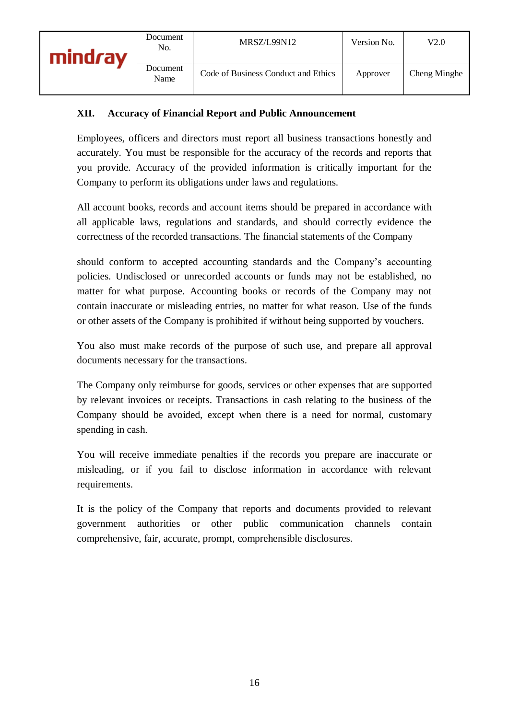# **XII. Accuracy of Financial Report and Public Announcement**

Employees, officers and directors must report all business transactions honestly and accurately. You must be responsible for the accuracy of the records and reports that you provide. Accuracy of the provided information is critically important for the Company to perform its obligations under laws and regulations.

All account books, records and account items should be prepared in accordance with all applicable laws, regulations and standards, and should correctly evidence the correctness of the recorded transactions. The financial statements of the Company

should conform to accepted accounting standards and the Company's accounting policies. Undisclosed or unrecorded accounts or funds may not be established, no matter for what purpose. Accounting books or records of the Company may not contain inaccurate or misleading entries, no matter for what reason. Use of the funds or other assets of the Company is prohibited if without being supported by vouchers.

You also must make records of the purpose of such use, and prepare all approval documents necessary for the transactions.

The Company only reimburse for goods, services or other expenses that are supported by relevant invoices or receipts. Transactions in cash relating to the business of the Company should be avoided, except when there is a need for normal, customary spending in cash.

You will receive immediate penalties if the records you prepare are inaccurate or misleading, or if you fail to disclose information in accordance with relevant requirements.

It is the policy of the Company that reports and documents provided to relevant government authorities or other public communication channels contain comprehensive, fair, accurate, prompt, comprehensible disclosures.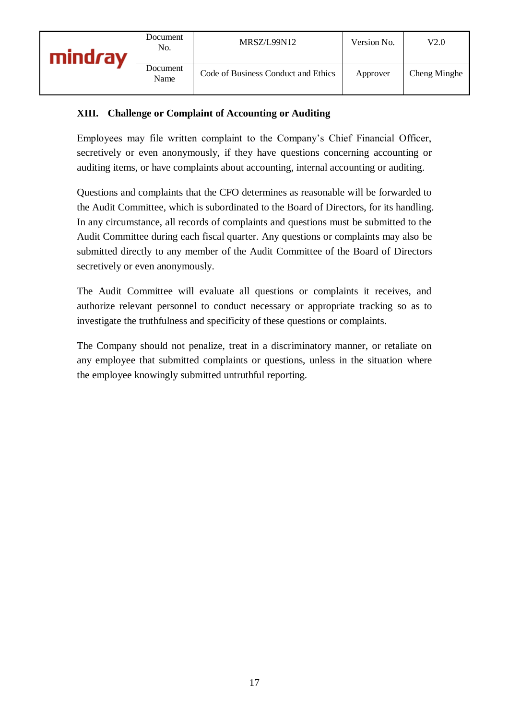# **XIII. Challenge or Complaint of Accounting or Auditing**

Employees may file written complaint to the Company's Chief Financial Officer, secretively or even anonymously, if they have questions concerning accounting or auditing items, or have complaints about accounting, internal accounting or auditing.

Questions and complaints that the CFO determines as reasonable will be forwarded to the Audit Committee, which is subordinated to the Board of Directors, for its handling. In any circumstance, all records of complaints and questions must be submitted to the Audit Committee during each fiscal quarter. Any questions or complaints may also be submitted directly to any member of the Audit Committee of the Board of Directors secretively or even anonymously.

The Audit Committee will evaluate all questions or complaints it receives, and authorize relevant personnel to conduct necessary or appropriate tracking so as to investigate the truthfulness and specificity of these questions or complaints.

The Company should not penalize, treat in a discriminatory manner, or retaliate on any employee that submitted complaints or questions, unless in the situation where the employee knowingly submitted untruthful reporting.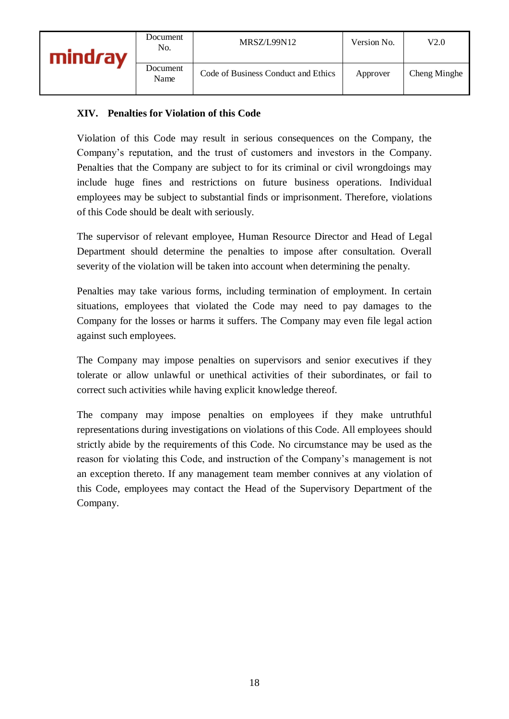# **XIV. Penalties for Violation of this Code**

Violation of this Code may result in serious consequences on the Company, the Company's reputation, and the trust of customers and investors in the Company. Penalties that the Company are subject to for its criminal or civil wrongdoings may include huge fines and restrictions on future business operations. Individual employees may be subject to substantial finds or imprisonment. Therefore, violations of this Code should be dealt with seriously.

The supervisor of relevant employee, Human Resource Director and Head of Legal Department should determine the penalties to impose after consultation. Overall severity of the violation will be taken into account when determining the penalty.

Penalties may take various forms, including termination of employment. In certain situations, employees that violated the Code may need to pay damages to the Company for the losses or harms it suffers. The Company may even file legal action against such employees.

The Company may impose penalties on supervisors and senior executives if they tolerate or allow unlawful or unethical activities of their subordinates, or fail to correct such activities while having explicit knowledge thereof.

The company may impose penalties on employees if they make untruthful representations during investigations on violations of this Code. All employees should strictly abide by the requirements of this Code. No circumstance may be used as the reason for violating this Code, and instruction of the Company's management is not an exception thereto. If any management team member connives at any violation of this Code, employees may contact the Head of the Supervisory Department of the Company.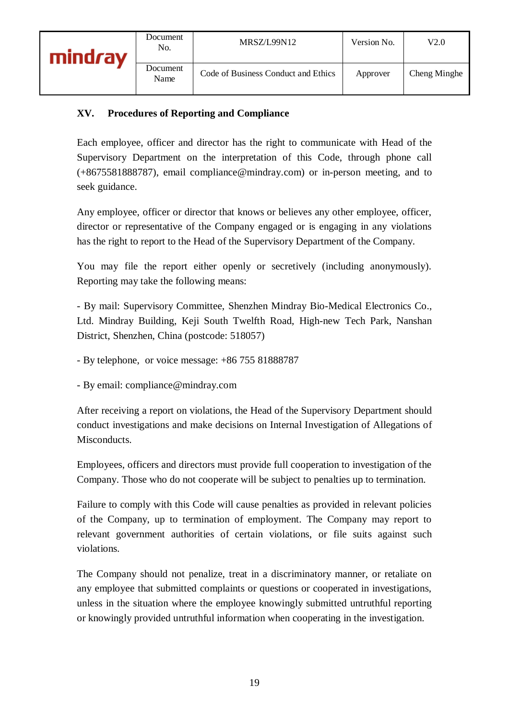# **XV. Procedures of Reporting and Compliance**

Each employee, officer and director has the right to communicate with Head of the Supervisory Department on the interpretation of this Code, through phone call (+8675581888787), email compliance@mindray.com) or in-person meeting, and to seek guidance.

Any employee, officer or director that knows or believes any other employee, officer, director or representative of the Company engaged or is engaging in any violations has the right to report to the Head of the Supervisory Department of the Company.

You may file the report either openly or secretively (including anonymously). Reporting may take the following means:

- By mail: Supervisory Committee, Shenzhen Mindray Bio-Medical Electronics Co., Ltd. Mindray Building, Keji South Twelfth Road, High-new Tech Park, Nanshan District, Shenzhen, China (postcode: 518057)

- By telephone, or voice message: +86 755 81888787

- By email: compliance@mindray.com

After receiving a report on violations, the Head of the Supervisory Department should conduct investigations and make decisions on Internal Investigation of Allegations of Misconducts.

Employees, officers and directors must provide full cooperation to investigation of the Company. Those who do not cooperate will be subject to penalties up to termination.

Failure to comply with this Code will cause penalties as provided in relevant policies of the Company, up to termination of employment. The Company may report to relevant government authorities of certain violations, or file suits against such violations.

The Company should not penalize, treat in a discriminatory manner, or retaliate on any employee that submitted complaints or questions or cooperated in investigations, unless in the situation where the employee knowingly submitted untruthful reporting or knowingly provided untruthful information when cooperating in the investigation.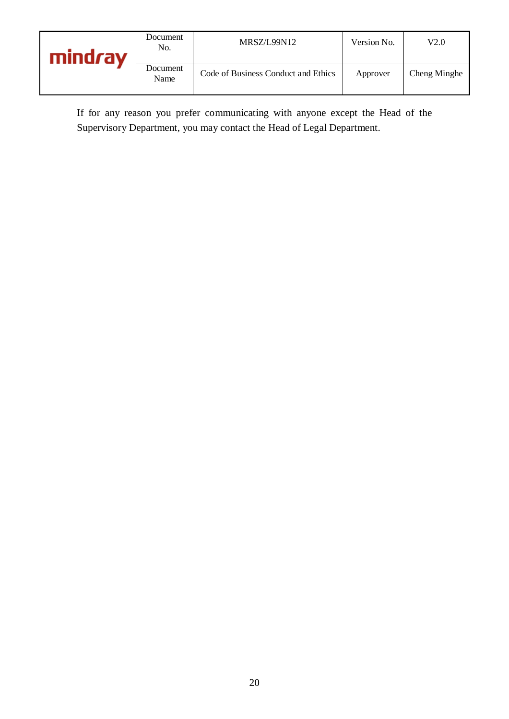| <b>mindray</b> | Document<br>No.  | MRSZ/L99N12                         | Version No. | V2.0         |
|----------------|------------------|-------------------------------------|-------------|--------------|
|                | Document<br>Name | Code of Business Conduct and Ethics | Approver    | Cheng Minghe |

If for any reason you prefer communicating with anyone except the Head of the Supervisory Department, you may contact the Head of Legal Department.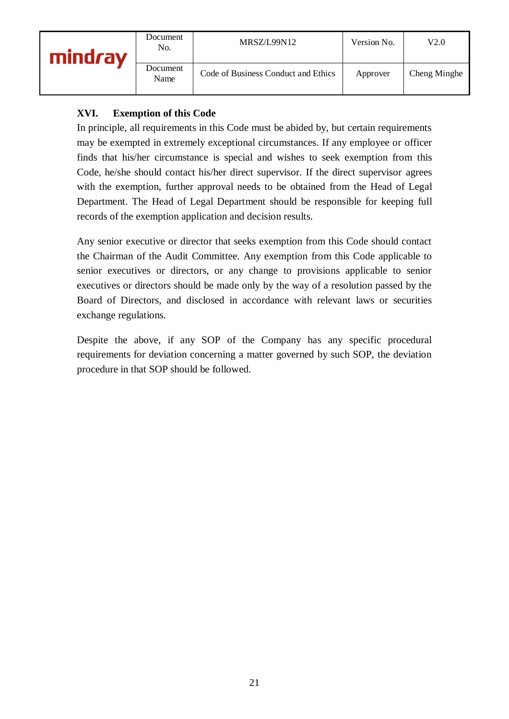| <b>mindray</b> | Document<br>No.  | MRSZ/L99N12                         | Version No. | V2.0         |
|----------------|------------------|-------------------------------------|-------------|--------------|
|                | Document<br>Name | Code of Business Conduct and Ethics | Approver    | Cheng Minghe |

# **XVI. Exemption of this Code**

In principle, all requirements in this Code must be abided by, but certain requirements may be exempted in extremely exceptional circumstances. If any employee or officer finds that his/her circumstance is special and wishes to seek exemption from this Code, he/she should contact his/her direct supervisor. If the direct supervisor agrees with the exemption, further approval needs to be obtained from the Head of Legal Department. The Head of Legal Department should be responsible for keeping full records of the exemption application and decision results.

Any senior executive or director that seeks exemption from this Code should contact the Chairman of the Audit Committee. Any exemption from this Code applicable to senior executives or directors, or any change to provisions applicable to senior executives or directors should be made only by the way of a resolution passed by the Board of Directors, and disclosed in accordance with relevant laws or securities exchange regulations.

Despite the above, if any SOP of the Company has any specific procedural requirements for deviation concerning a matter governed by such SOP, the deviation procedure in that SOP should be followed.